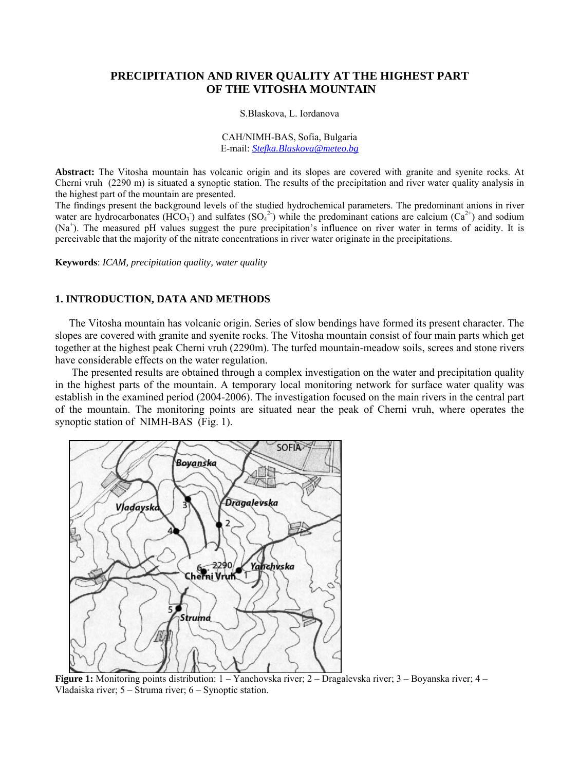# **PRECIPITATION AND RIVER QUALITY AT THE HIGHEST PART OF THE VITOSHA MOUNTAIN**

S.Blaskova, L. Iordanova

CAH/NIMH-BAS, Sofia, Bulgaria E-mail: *[Stefka.Blaskova@meteo.bg](mailto:Stefka.Blaskova@meteo.bg)*

**Abstract:** The Vitosha mountain has volcanic origin and its slopes are covered with granite and syenite rocks. At Cherni vruh (2290 m) is situated a synoptic station. The results of the precipitation and river water quality analysis in the highest part of the mountain are presented.

The findings present the background levels of the studied hydrochemical parameters. The predominant anions in river water are hydrocarbonates (HCO<sub>3</sub>) and sulfates (SO<sub>4</sub><sup>2</sup>) while the predominant cations are calcium (Ca<sup>2+</sup>) and sodium (Na<sup>+</sup>). The measured pH values suggest the pure precipitation's influence on river water in terms of acidity. It is perceivable that the majority of the nitrate concentrations in river water originate in the precipitations.

**Keywords**: *ICAM, precipitation quality, water quality* 

## **1. INTRODUCTION, DATA AND METHODS**

The Vitosha mountain has volcanic origin. Series of slow bendings have formed its present character. The slopes are covered with granite and syenite rocks. The Vitosha mountain consist of four main parts which get together at the highest peak Cherni vruh (2290m). The turfed mountain-meadow soils, screes and stone rivers have considerable effects on the water regulation.

 The presented results are obtained through a complex investigation on the water and precipitation quality in the highest parts of the mountain. A temporary local monitoring network for surface water quality was establish in the examined period (2004-2006). The investigation focused on the main rivers in the central part of the mountain. The monitoring points are situated near the peak of Cherni vruh, where operates the synoptic station of NIMH-BAS (Fig. 1).



**Figure 1:** Monitoring points distribution: 1 – Yanchovska river; 2 – Dragalevska river; 3 – Boyanska river; 4 – Vladaiska river; 5 – Struma river; 6 – Synoptic station.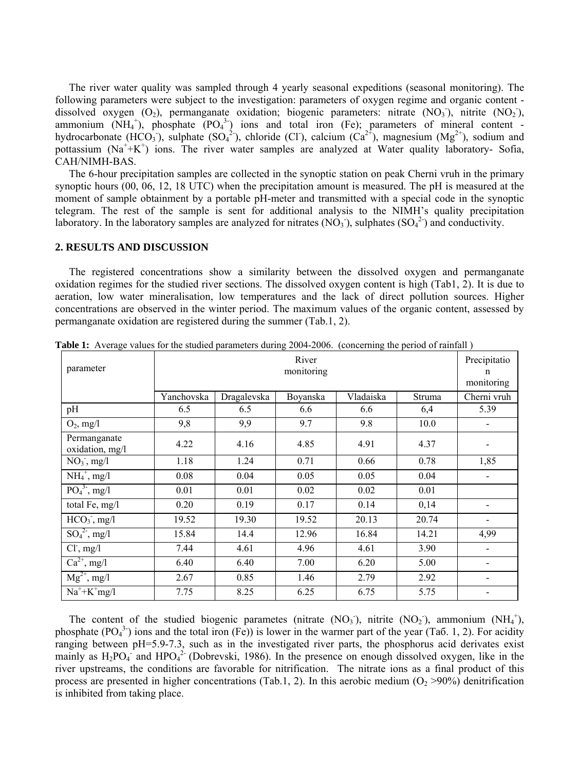The river water quality was sampled through 4 yearly seasonal expeditions (seasonal monitoring). The following parameters were subject to the investigation: parameters of oxygen regime and organic content dissolved oxygen  $(O_2)$ , permanganate oxidation; biogenic parameters: nitrate  $(NO_3)$ , nitrite  $(NO_2)$ , ammonium  $(NH_4^+)$ , phosphate  $(PO_4^3)$  ions and total iron (Fe); parameters of mineral content hydrocarbonate (HCO<sub>3</sub>), sulphate (SO<sub>4</sub><sup>2</sup>), chloride (Cl), calcium (Ca<sup>2+</sup>), magnesium (Mg<sup>2+</sup>), sodium and pottassium  $(Na^{+}+K^{+})$  ions. The river water samples are analyzed at Water quality laboratory- Sofia, CAH/NIMH-BAS.

The 6-hour precipitation samples are collected in the synoptic station on peak Cherni vruh in the primary synoptic hours (00, 06, 12, 18 UTC) when the precipitation amount is measured. The pH is measured at the moment of sample obtainment by a portable pH-meter and transmitted with a special code in the synoptic telegram. The rest of the sample is sent for additional analysis to the NIMH's quality precipitation laboratory. In the laboratory samples are analyzed for nitrates  $(NO<sub>3</sub>)$ , sulphates  $(SO<sub>4</sub><sup>2</sup>)$  and conductivity.

### **2. RESULTS AND DISCUSSION**

The registered concentrations show a similarity between the dissolved oxygen and permanganate oxidation regimes for the studied river sections. The dissolved oxygen content is high (Tab1, 2). It is due to aeration, low water mineralisation, low temperatures and the lack of direct pollution sources. Higher concentrations are observed in the winter period. The maximum values of the organic content, assessed by permanganate oxidation are registered during the summer (Tab.1, 2).

| parameter                       | River<br>monitoring |             |          |           | Precipitatio<br>n<br>monitoring |                          |
|---------------------------------|---------------------|-------------|----------|-----------|---------------------------------|--------------------------|
|                                 | Yanchovska          | Dragalevska | Boyanska | Vladaiska | Struma                          | Cherni vruh              |
| pH                              | 6.5                 | 6.5         | 6.6      | 6.6       | 6,4                             | 5.39                     |
| $O_2$ , mg/l                    | 9,8                 | 9,9         | 9.7      | 9.8       | 10.0                            |                          |
| Permanganate<br>oxidation, mg/l | 4.22                | 4.16        | 4.85     | 4.91      | 4.37                            |                          |
| $NO3$ , mg/l                    | 1.18                | 1.24        | 0.71     | 0.66      | 0.78                            | 1,85                     |
| $NH_4^+$ , mg/l                 | 0.08                | 0.04        | 0.05     | 0.05      | 0.04                            | $\overline{\phantom{a}}$ |
| $PO43$ , mg/l                   | 0.01                | 0.01        | 0.02     | 0.02      | 0.01                            |                          |
| total Fe, mg/l                  | 0.20                | 0.19        | 0.17     | 0.14      | 0,14                            |                          |
| $HCO3$ , mg/l                   | 19.52               | 19.30       | 19.52    | 20.13     | 20.74                           | -                        |
| $SO42$ , mg/l                   | 15.84               | 14.4        | 12.96    | 16.84     | 14.21                           | 4,99                     |
| $Cl1$ , mg/l                    | 7.44                | 4.61        | 4.96     | 4.61      | 3.90                            |                          |
| $Ca^{2+}$ , mg/l                | 6.40                | 6.40        | 7.00     | 6.20      | 5.00                            |                          |
| $Mg^{2+}$ , mg/l                | 2.67                | 0.85        | 1.46     | 2.79      | 2.92                            |                          |
| $Na^+ + K^+$ mg/l               | 7.75                | 8.25        | 6.25     | 6.75      | 5.75                            |                          |

**Table 1:** Average values for the studied parameters during 2004-2006. (concerning the period of rainfall )

The content of the studied biogenic parametes (nitrate  $(NO<sub>3</sub>)$ , nitrite  $(NO<sub>2</sub>)$ , ammonium  $(NH<sub>4</sub><sup>+</sup>)$ , phosphate  $(PO<sub>4</sub><sup>3</sup>)$  ions and the total iron (Fe)) is lower in the warmer part of the year (Tao. 1, 2). For acidity ranging between pH=5.9-7.3, such as in the investigated river parts, the phosphorus acid derivates exist mainly as  $H_2PO_4$  and  $HPO_4^2$  (Dobrevski, 1986). In the presence on enough dissolved oxygen, like in the river upstreams, the conditions are favorable for nitrification. The nitrate ions as a final product of this process are presented in higher concentrations (Tab.1, 2). In this aerobic medium ( $O<sub>2</sub> >90%$ ) denitrification is inhibited from taking place.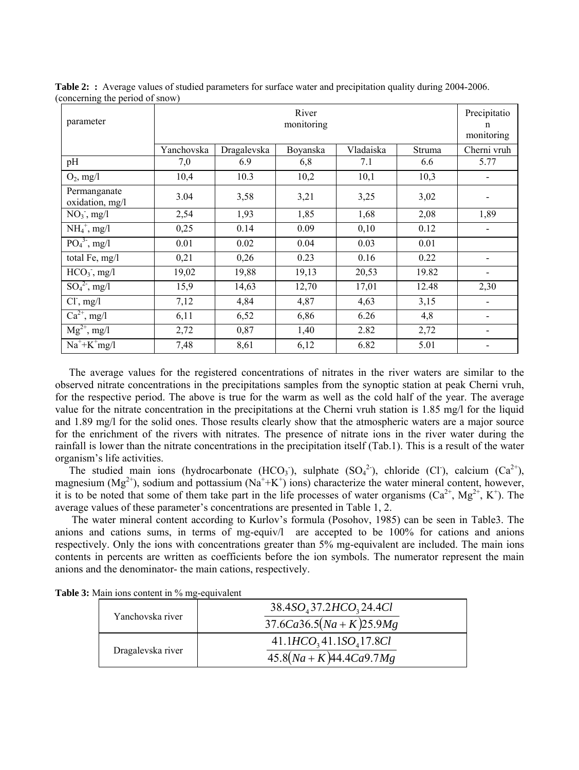| parameter                       | River<br>monitoring |             |          |           |        | Precipitatio<br>n<br>monitoring |
|---------------------------------|---------------------|-------------|----------|-----------|--------|---------------------------------|
|                                 | Yanchovska          | Dragalevska | Boyanska | Vladaiska | Struma | Cherni vruh                     |
| pH                              | 7,0                 | 6.9         | 6,8      | 7.1       | 6.6    | 5.77                            |
| $O_2$ , mg/l                    | 10,4                | 10.3        | 10,2     | 10,1      | 10,3   |                                 |
| Permanganate<br>oxidation, mg/l | 3.04                | 3,58        | 3,21     | 3,25      | 3,02   |                                 |
| $NO3$ , mg/l                    | 2,54                | 1,93        | 1,85     | 1,68      | 2,08   | 1,89                            |
| $NH_4^+$ , mg/l                 | 0,25                | 0.14        | 0.09     | 0,10      | 0.12   | $\overline{\phantom{0}}$        |
| $PO43$ , mg/l                   | 0.01                | 0.02        | 0.04     | 0.03      | 0.01   |                                 |
| total Fe, mg/l                  | 0,21                | 0,26        | 0.23     | 0.16      | 0.22   |                                 |
| $HCO3$ , mg/l                   | 19,02               | 19,88       | 19,13    | 20,53     | 19.82  |                                 |
| $SO_4^2$ , mg/l                 | 15,9                | 14,63       | 12,70    | 17,01     | 12.48  | 2,30                            |
| $Cl1$ , mg/l                    | 7,12                | 4,84        | 4,87     | 4,63      | 3,15   |                                 |
| $Ca^{2+}$ , mg/l                | 6,11                | 6,52        | 6,86     | 6.26      | 4,8    |                                 |
| $Mg^{2+}$ , mg/l                | 2,72                | 0,87        | 1,40     | 2.82      | 2,72   |                                 |
| $Na^+ + K^+$ mg/l               | 7,48                | 8,61        | 6,12     | 6.82      | 5.01   |                                 |

**Table 2:** Average values of studied parameters for surface water and precipitation quality during 2004-2006. (concerning the period of snow)

The average values for the registered concentrations of nitrates in the river waters are similar to the observed nitrate concentrations in the precipitations samples from the synoptic station at peak Cherni vruh, for the respective period. The above is true for the warm as well as the cold half of the year. The average value for the nitrate concentration in the precipitations at the Cherni vruh station is 1.85 mg/l for the liquid and 1.89 mg/l for the solid ones. Those results clearly show that the atmospheric waters are a major source for the enrichment of the rivers with nitrates. The presence of nitrate ions in the river water during the rainfall is lower than the nitrate concentrations in the precipitation itself (Tab.1). This is a result of the water organism's life activities.

The studied main ions (hydrocarbonate  $(HCO<sub>3</sub>)$ , sulphate  $(SO<sub>4</sub><sup>2</sup>)$ , chloride (Cl), calcium  $(Ca<sup>2+</sup>)$ , magnesium ( $Mg^{2+}$ ), sodium and pottassium ( $Na^+ + K^+$ ) ions) characterize the water mineral content, however, it is to be noted that some of them take part in the life processes of water organisms  $(Ca^{2+}, Mg^{2+}, K^+)$ . The average values of these parameter's concentrations are presented in Table 1, 2.

 The water mineral content according to Kurlov's formula (Posohov, 1985) can be seen in Table3. The anions and cations sums, in terms of mg-equiv/l are accepted to be 100% for cations and anions respectively. Only the ions with concentrations greater than 5% mg-equivalent are included. The main ions contents in percents are written as coefficients before the ion symbols. The numerator represent the main anions and the denominator- the main cations, respectively.

| Yanchovska river  | $38.4SO437.2HCO324.4Cl$<br>$37.6Ca36.5(Na+K)25.9Mg$ |
|-------------------|-----------------------------------------------------|
| Dragalevska river | $41.1HCO341.1SO417.8Cl$<br>$45.8(Na+K)44.4Ca9.7Mg$  |

**Table 3:** Main ions content in % mg-equivalent